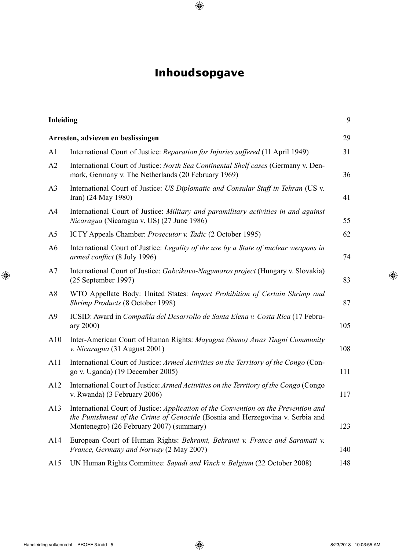## **Inhoudsopgave**

| <b>Inleiding</b>                   |                                                                                                                                                                                                                  | 9   |
|------------------------------------|------------------------------------------------------------------------------------------------------------------------------------------------------------------------------------------------------------------|-----|
| Arresten, adviezen en beslissingen |                                                                                                                                                                                                                  |     |
| A1                                 | International Court of Justice: Reparation for Injuries suffered (11 April 1949)                                                                                                                                 | 31  |
| A2                                 | International Court of Justice: North Sea Continental Shelf cases (Germany v. Den-<br>mark, Germany v. The Netherlands (20 February 1969)                                                                        | 36  |
| A <sub>3</sub>                     | International Court of Justice: US Diplomatic and Consular Staff in Tehran (US v.<br>Iran) (24 May 1980)                                                                                                         | 41  |
| A4                                 | International Court of Justice: Military and paramilitary activities in and against<br><i>Nicaragua</i> (Nicaragua v. US) (27 June 1986)                                                                         | 55  |
| A <sub>5</sub>                     | ICTY Appeals Chamber: Prosecutor v. Tadic (2 October 1995)                                                                                                                                                       | 62  |
| A <sub>6</sub>                     | International Court of Justice: Legality of the use by a State of nuclear weapons in<br>armed conflict (8 July 1996)                                                                                             | 74  |
| A7                                 | International Court of Justice: Gabcikovo-Nagymaros project (Hungary v. Slovakia)<br>$(25$ September 1997)                                                                                                       | 83  |
| A8                                 | WTO Appellate Body: United States: Import Prohibition of Certain Shrimp and<br>Shrimp Products (8 October 1998)                                                                                                  | 87  |
| A <sub>9</sub>                     | ICSID: Award in Compañía del Desarrollo de Santa Elena v. Costa Rica (17 Febru-<br>ary 2000)                                                                                                                     | 105 |
| A10                                | Inter-American Court of Human Rights: Mayagna (Sumo) Awas Tingni Community<br>v. Nicaragua (31 August 2001)                                                                                                      | 108 |
| A11                                | International Court of Justice: Armed Activities on the Territory of the Congo (Con-<br>go v. Uganda) (19 December 2005)                                                                                         | 111 |
| A12                                | International Court of Justice: Armed Activities on the Territory of the Congo (Congo<br>v. Rwanda) (3 February 2006)                                                                                            | 117 |
| A13                                | International Court of Justice: Application of the Convention on the Prevention and<br>the Punishment of the Crime of Genocide (Bosnia and Herzegovina v. Serbia and<br>Montenegro) (26 February 2007) (summary) | 123 |
| A14                                | European Court of Human Rights: Behrami, Behrami v. France and Saramati v.<br>France, Germany and Norway (2 May 2007)                                                                                            | 140 |
| A15                                | UN Human Rights Committee: Sayadi and Vinck v. Belgium (22 October 2008)                                                                                                                                         | 148 |
|                                    |                                                                                                                                                                                                                  |     |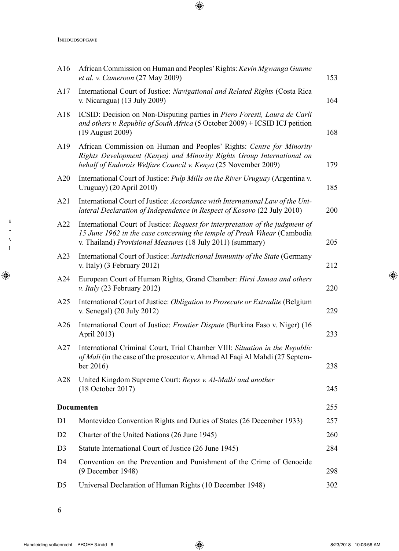| A16            | African Commission on Human and Peoples' Rights: Kevin Mgwanga Gunme<br>et al. v. Cameroon (27 May 2009)                                                                                                                | 153 |
|----------------|-------------------------------------------------------------------------------------------------------------------------------------------------------------------------------------------------------------------------|-----|
| A17            | International Court of Justice: Navigational and Related Rights (Costa Rica<br>v. Nicaragua) $(13 \text{ July } 2009)$                                                                                                  | 164 |
| A18            | ICSID: Decision on Non-Disputing parties in Piero Foresti, Laura de Carli<br>and others v. Republic of South Africa (5 October 2009) + ICSID ICJ petition<br>(19 August 2009)                                           | 168 |
| A19            | African Commission on Human and Peoples' Rights: Centre for Minority<br>Rights Development (Kenya) and Minority Rights Group International on<br>behalf of Endorois Welfare Council v. Kenya (25 November 2009)         | 179 |
| A20            | International Court of Justice: Pulp Mills on the River Uruguay (Argentina v.<br>Uruguay) (20 April 2010)                                                                                                               | 185 |
| A21            | International Court of Justice: Accordance with International Law of the Uni-<br>lateral Declaration of Independence in Respect of Kosovo (22 July 2010)                                                                | 200 |
| A22            | International Court of Justice: Request for interpretation of the judgment of<br>15 June 1962 in the case concerning the temple of Preah Vihear (Cambodia<br>v. Thailand) Provisional Measures (18 July 2011) (summary) | 205 |
| A23            | International Court of Justice: Jurisdictional Immunity of the State (Germany<br>v. Italy) (3 February 2012)                                                                                                            | 212 |
| A24            | European Court of Human Rights, Grand Chamber: Hirsi Jamaa and others<br>v. Italy $(23$ February 2012)                                                                                                                  | 220 |
| A25            | International Court of Justice: Obligation to Prosecute or Extradite (Belgium<br>v. Senegal) (20 July 2012)                                                                                                             | 229 |
| A26            | International Court of Justice: Frontier Dispute (Burkina Faso v. Niger) (16<br>April 2013)                                                                                                                             | 233 |
| A27            | International Criminal Court, Trial Chamber VIII: Situation in the Republic<br>of Mali (in the case of the prosecutor v. Ahmad Al Faqi Al Mahdi (27 Septem-<br>ber 2016)                                                | 238 |
| A28            | United Kingdom Supreme Court: Reyes v. Al-Malki and another<br>(18 October 2017)                                                                                                                                        | 245 |
|                | Documenten                                                                                                                                                                                                              | 255 |
| D1             | Montevideo Convention Rights and Duties of States (26 December 1933)                                                                                                                                                    | 257 |
| D <sub>2</sub> | Charter of the United Nations (26 June 1945)                                                                                                                                                                            | 260 |
| D <sub>3</sub> | Statute International Court of Justice (26 June 1945)                                                                                                                                                                   | 284 |
| D4             | Convention on the Prevention and Punishment of the Crime of Genocide<br>(9 December 1948)                                                                                                                               | 298 |
| D <sub>5</sub> | Universal Declaration of Human Rights (10 December 1948)                                                                                                                                                                | 302 |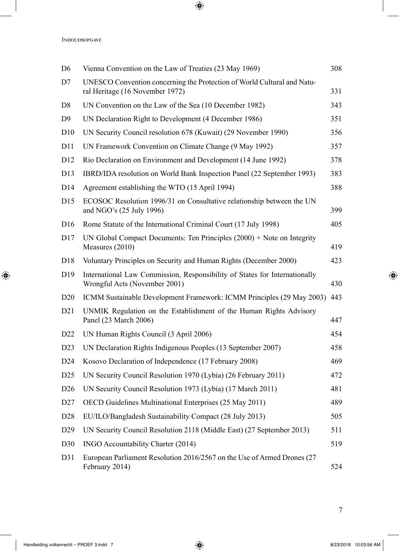| D <sub>6</sub>  | Vienna Convention on the Law of Treaties (23 May 1969)                                                      | 308 |
|-----------------|-------------------------------------------------------------------------------------------------------------|-----|
| D7              | UNESCO Convention concerning the Protection of World Cultural and Natu-<br>ral Heritage (16 November 1972)  | 331 |
| D <sub>8</sub>  | UN Convention on the Law of the Sea (10 December 1982)                                                      | 343 |
| D <sub>9</sub>  | UN Declaration Right to Development (4 December 1986)                                                       | 351 |
| D10             | UN Security Council resolution 678 (Kuwait) (29 November 1990)                                              | 356 |
| D11             | UN Framework Convention on Climate Change (9 May 1992)                                                      | 357 |
| D <sub>12</sub> | Rio Declaration on Environment and Development (14 June 1992)                                               | 378 |
| D <sub>13</sub> | IBRD/IDA resolution on World Bank Inspection Panel (22 September 1993)                                      | 383 |
| D <sub>14</sub> | Agreement establishing the WTO (15 April 1994)                                                              | 388 |
| D15             | ECOSOC Resolution 1996/31 on Consultative relationship between the UN<br>and NGO's (25 July 1996)           | 399 |
| D <sub>16</sub> | Rome Statute of the International Criminal Court (17 July 1998)                                             | 405 |
| D <sub>17</sub> | UN Global Compact Documents: Ten Principles $(2000)$ + Note on Integrity<br>Measures (2010)                 | 419 |
| D <sub>18</sub> | Voluntary Principles on Security and Human Rights (December 2000)                                           | 423 |
| D19             | International Law Commission, Responsibility of States for Internationally<br>Wrongful Acts (November 2001) | 430 |
| D <sub>20</sub> | ICMM Sustainable Development Framework: ICMM Principles (29 May 2003) 443                                   |     |
| D21             | UNMIK Regulation on the Establishment of the Human Rights Advisory<br>Panel (23 March 2006)                 | 447 |
| D <sub>22</sub> | UN Human Rights Council (3 April 2006)                                                                      | 454 |
| D23             | UN Declaration Rights Indigenous Peoples (13 September 2007)                                                | 458 |
| D24             | Kosovo Declaration of Independence (17 February 2008)                                                       | 469 |
| D <sub>25</sub> | UN Security Council Resolution 1970 (Lybia) (26 February 2011)                                              | 472 |
| D <sub>26</sub> | UN Security Council Resolution 1973 (Lybia) (17 March 2011)                                                 | 481 |
| D27             | OECD Guidelines Multinational Enterprises (25 May 2011)                                                     | 489 |
| D <sub>28</sub> | EU/ILO/Bangladesh Sustainability Compact (28 July 2013)                                                     | 505 |
| D <sub>29</sub> | UN Security Council Resolution 2118 (Middle East) (27 September 2013)                                       | 511 |
| D30             | INGO Accountability Charter (2014)                                                                          | 519 |
| D31             | European Parliament Resolution 2016/2567 on the Use of Armed Drones (27<br>February 2014)                   | 524 |